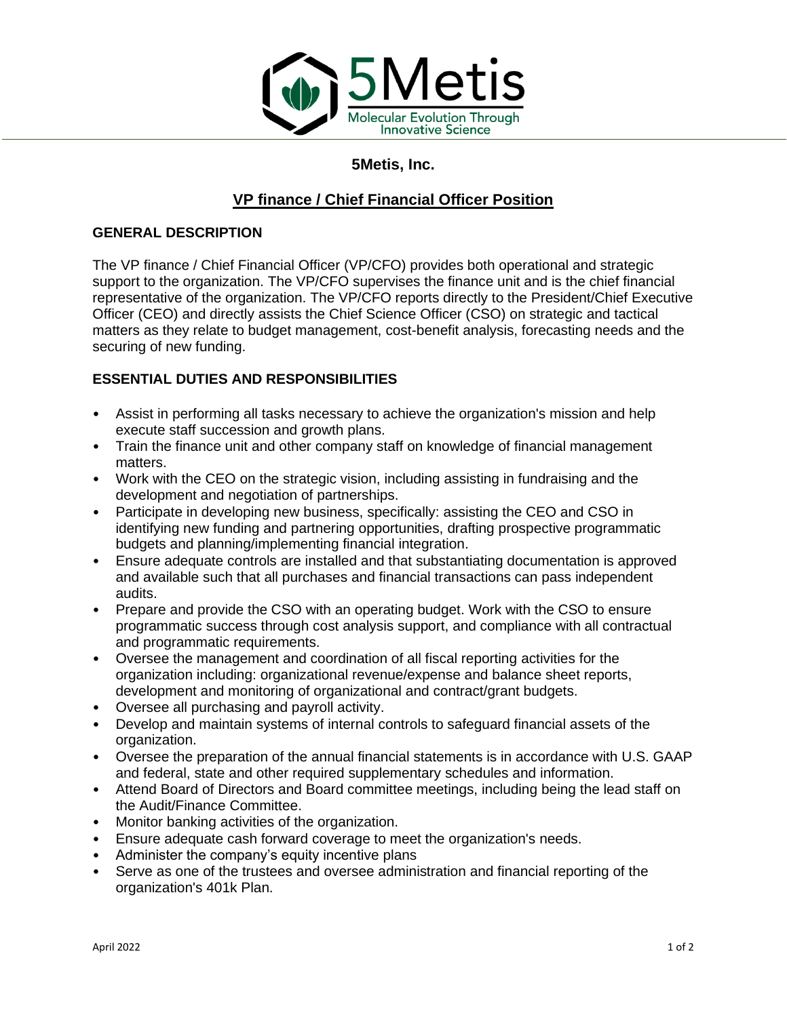

# **5Metis, Inc.**

# **VP finance / Chief Financial Officer Position**

### **GENERAL DESCRIPTION**

The VP finance / Chief Financial Officer (VP/CFO) provides both operational and strategic support to the organization. The VP/CFO supervises the finance unit and is the chief financial representative of the organization. The VP/CFO reports directly to the President/Chief Executive Officer (CEO) and directly assists the Chief Science Officer (CSO) on strategic and tactical matters as they relate to budget management, cost-benefit analysis, forecasting needs and the securing of new funding.

## **ESSENTIAL DUTIES AND RESPONSIBILITIES**

- Assist in performing all tasks necessary to achieve the organization's mission and help execute staff succession and growth plans.
- Train the finance unit and other company staff on knowledge of financial management matters.
- Work with the CEO on the strategic vision, including assisting in fundraising and the development and negotiation of partnerships.
- Participate in developing new business, specifically: assisting the CEO and CSO in identifying new funding and partnering opportunities, drafting prospective programmatic budgets and planning/implementing financial integration.
- Ensure adequate controls are installed and that substantiating documentation is approved and available such that all purchases and financial transactions can pass independent audits.
- Prepare and provide the CSO with an operating budget. Work with the CSO to ensure programmatic success through cost analysis support, and compliance with all contractual and programmatic requirements.
- Oversee the management and coordination of all fiscal reporting activities for the organization including: organizational revenue/expense and balance sheet reports, development and monitoring of organizational and contract/grant budgets.
- Oversee all purchasing and payroll activity.
- Develop and maintain systems of internal controls to safeguard financial assets of the organization.
- Oversee the preparation of the annual financial statements is in accordance with U.S. GAAP and federal, state and other required supplementary schedules and information.
- Attend Board of Directors and Board committee meetings, including being the lead staff on the Audit/Finance Committee.
- Monitor banking activities of the organization.
- Ensure adequate cash forward coverage to meet the organization's needs.
- Administer the company's equity incentive plans
- Serve as one of the trustees and oversee administration and financial reporting of the organization's 401k Plan.